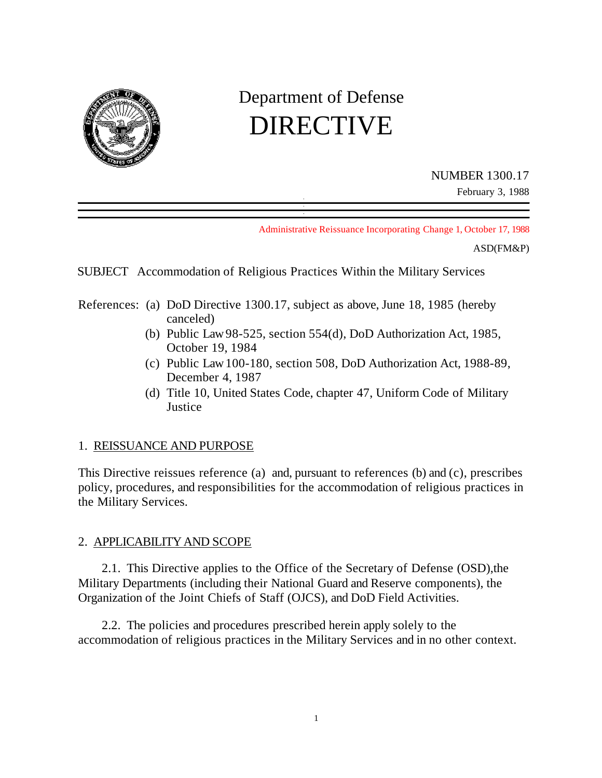

# Department of Defense DIRECTIVE

NUMBER 1300.17

February 3, 1988

Administrative Reissuance Incorporating Change 1, October 17, 1988

ASD(FM&P)

SUBJECT Accommodation of Religious Practices Within the Military Services

- References: (a) DoD Directive 1300.17, subject as above, June 18, 1985 (hereby canceled)
	- (b) Public Law 98-525, section 554(d), DoD Authorization Act, 1985, October 19, 1984
	- (c) Public Law 100-180, section 508, DoD Authorization Act, 1988-89, December 4, 1987
	- (d) Title 10, United States Code, chapter 47, Uniform Code of Military **Justice**

## 1. REISSUANCE AND PURPOSE

This Directive reissues reference (a) and, pursuant to references (b) and (c), prescribes policy, procedures, and responsibilities for the accommodation of religious practices in the Military Services.

## 2. APPLICABILITY AND SCOPE

2.1. This Directive applies to the Office of the Secretary of Defense (OSD),the Military Departments (including their National Guard and Reserve components), the Organization of the Joint Chiefs of Staff (OJCS), and DoD Field Activities.

2.2. The policies and procedures prescribed herein apply solely to the accommodation of religious practices in the Military Services and in no other context.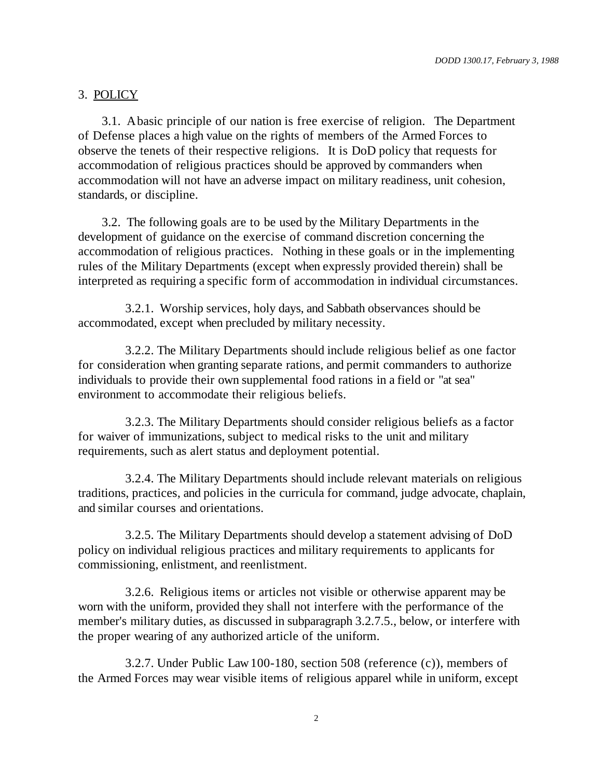## 3. POLICY

3.1. A basic principle of our nation is free exercise of religion. The Department of Defense places a high value on the rights of members of the Armed Forces to observe the tenets of their respective religions. It is DoD policy that requests for accommodation of religious practices should be approved by commanders when accommodation will not have an adverse impact on military readiness, unit cohesion, standards, or discipline.

3.2. The following goals are to be used by the Military Departments in the development of guidance on the exercise of command discretion concerning the accommodation of religious practices. Nothing in these goals or in the implementing rules of the Military Departments (except when expressly provided therein) shall be interpreted as requiring a specific form of accommodation in individual circumstances.

3.2.1. Worship services, holy days, and Sabbath observances should be accommodated, except when precluded by military necessity.

3.2.2. The Military Departments should include religious belief as one factor for consideration when granting separate rations, and permit commanders to authorize individuals to provide their own supplemental food rations in a field or "at sea" environment to accommodate their religious beliefs.

3.2.3. The Military Departments should consider religious beliefs as a factor for waiver of immunizations, subject to medical risks to the unit and military requirements, such as alert status and deployment potential.

3.2.4. The Military Departments should include relevant materials on religious traditions, practices, and policies in the curricula for command, judge advocate, chaplain, and similar courses and orientations.

3.2.5. The Military Departments should develop a statement advising of DoD policy on individual religious practices and military requirements to applicants for commissioning, enlistment, and reenlistment.

3.2.6. Religious items or articles not visible or otherwise apparent may be worn with the uniform, provided they shall not interfere with the performance of the member's military duties, as discussed in subparagraph 3.2.7.5., below, or interfere with the proper wearing of any authorized article of the uniform.

3.2.7. Under Public Law 100-180, section 508 (reference (c)), members of the Armed Forces may wear visible items of religious apparel while in uniform, except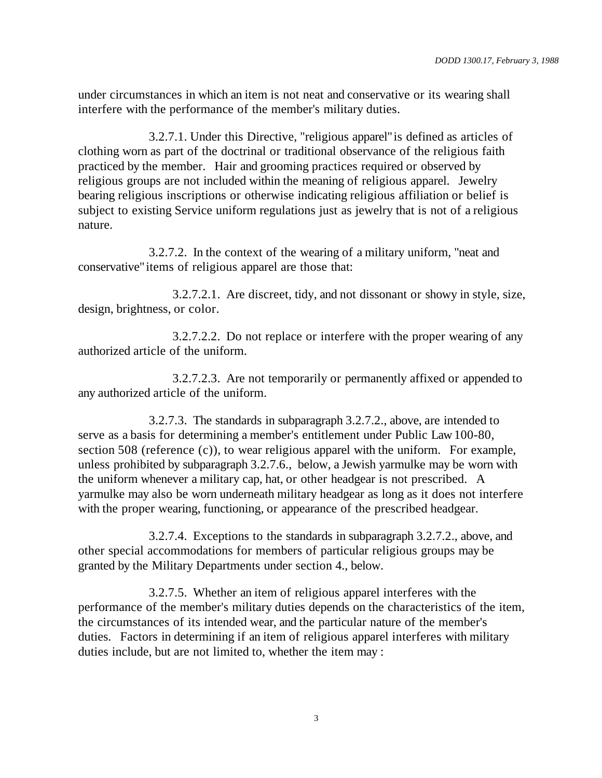under circumstances in which an item is not neat and conservative or its wearing shall interfere with the performance of the member's military duties.

3.2.7.1. Under this Directive, "religious apparel" is defined as articles of clothing worn as part of the doctrinal or traditional observance of the religious faith practiced by the member. Hair and grooming practices required or observed by religious groups are not included within the meaning of religious apparel. Jewelry bearing religious inscriptions or otherwise indicating religious affiliation or belief is subject to existing Service uniform regulations just as jewelry that is not of a religious nature.

3.2.7.2. In the context of the wearing of a military uniform, "neat and conservative" items of religious apparel are those that:

3.2.7.2.1. Are discreet, tidy, and not dissonant or showy in style, size, design, brightness, or color.

3.2.7.2.2. Do not replace or interfere with the proper wearing of any authorized article of the uniform.

3.2.7.2.3. Are not temporarily or permanently affixed or appended to any authorized article of the uniform.

3.2.7.3. The standards in subparagraph 3.2.7.2., above, are intended to serve as a basis for determining a member's entitlement under Public Law 100-80, section 508 (reference (c)), to wear religious apparel with the uniform. For example, unless prohibited by subparagraph 3.2.7.6., below, a Jewish yarmulke may be worn with the uniform whenever a military cap, hat, or other headgear is not prescribed. A yarmulke may also be worn underneath military headgear as long as it does not interfere with the proper wearing, functioning, or appearance of the prescribed headgear.

3.2.7.4. Exceptions to the standards in subparagraph 3.2.7.2., above, and other special accommodations for members of particular religious groups may be granted by the Military Departments under section 4., below.

3.2.7.5. Whether an item of religious apparel interferes with the performance of the member's military duties depends on the characteristics of the item, the circumstances of its intended wear, and the particular nature of the member's duties. Factors in determining if an item of religious apparel interferes with military duties include, but are not limited to, whether the item may :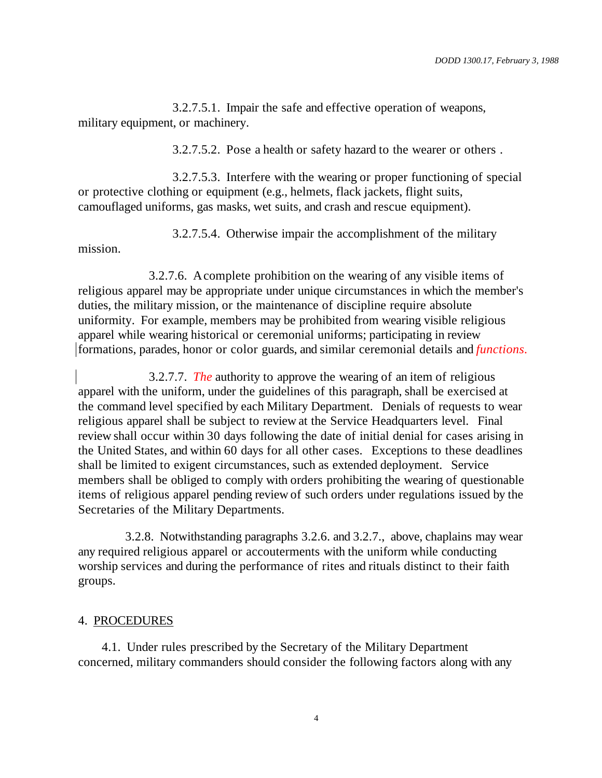3.2.7.5.1. Impair the safe and effective operation of weapons, military equipment, or machinery.

3.2.7.5.2. Pose a health or safety hazard to the wearer or others .

3.2.7.5.3. Interfere with the wearing or proper functioning of special or protective clothing or equipment (e.g., helmets, flack jackets, flight suits, camouflaged uniforms, gas masks, wet suits, and crash and rescue equipment).

3.2.7.5.4. Otherwise impair the accomplishment of the military

3.2.7.6. A complete prohibition on the wearing of any visible items of religious apparel may be appropriate under unique circumstances in which the member's duties, the military mission, or the maintenance of discipline require absolute uniformity. For example, members may be prohibited from wearing visible religious apparel while wearing historical or ceremonial uniforms; participating in review formations, parades, honor or color guards, and similar ceremonial details and *functions.*

3.2.7.7. *The* authority to approve the wearing of an item of religious apparel with the uniform, under the guidelines of this paragraph, shall be exercised at the command level specified by each Military Department. Denials of requests to wear religious apparel shall be subject to review at the Service Headquarters level. Final review shall occur within 30 days following the date of initial denial for cases arising in the United States, and within 60 days for all other cases. Exceptions to these deadlines shall be limited to exigent circumstances, such as extended deployment. Service members shall be obliged to comply with orders prohibiting the wearing of questionable items of religious apparel pending review of such orders under regulations issued by the Secretaries of the Military Departments.

3.2.8. Notwithstanding paragraphs 3.2.6. and 3.2.7., above, chaplains may wear any required religious apparel or accouterments with the uniform while conducting worship services and during the performance of rites and rituals distinct to their faith groups.

#### 4. PROCEDURES

mission.

4.1. Under rules prescribed by the Secretary of the Military Department concerned, military commanders should consider the following factors along with any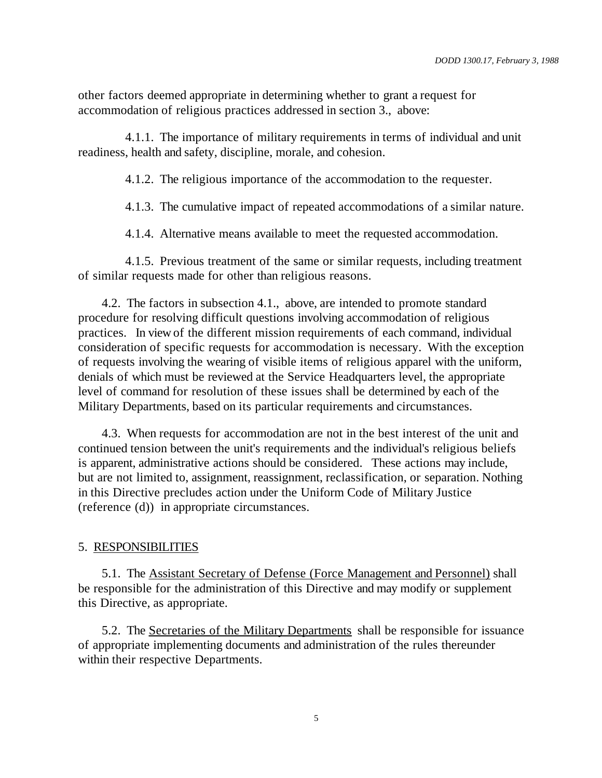other factors deemed appropriate in determining whether to grant a request for accommodation of religious practices addressed in section 3., above:

4.1.1. The importance of military requirements in terms of individual and unit readiness, health and safety, discipline, morale, and cohesion.

4.1.2. The religious importance of the accommodation to the requester.

4.1.3. The cumulative impact of repeated accommodations of a similar nature.

4.1.4. Alternative means available to meet the requested accommodation.

4.1.5. Previous treatment of the same or similar requests, including treatment of similar requests made for other than religious reasons.

4.2. The factors in subsection 4.1., above, are intended to promote standard procedure for resolving difficult questions involving accommodation of religious practices. In view of the different mission requirements of each command, individual consideration of specific requests for accommodation is necessary. With the exception of requests involving the wearing of visible items of religious apparel with the uniform, denials of which must be reviewed at the Service Headquarters level, the appropriate level of command for resolution of these issues shall be determined by each of the Military Departments, based on its particular requirements and circumstances.

4.3. When requests for accommodation are not in the best interest of the unit and continued tension between the unit's requirements and the individual's religious beliefs is apparent, administrative actions should be considered. These actions may include, but are not limited to, assignment, reassignment, reclassification, or separation. Nothing in this Directive precludes action under the Uniform Code of Military Justice (reference (d)) in appropriate circumstances.

#### 5. RESPONSIBILITIES

5.1. The Assistant Secretary of Defense (Force Management and Personnel) shall be responsible for the administration of this Directive and may modify or supplement this Directive, as appropriate.

5.2. The Secretaries of the Military Departments shall be responsible for issuance of appropriate implementing documents and administration of the rules thereunder within their respective Departments.